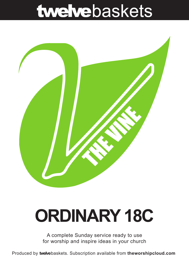## twelvebaskets



# **ORDINARY 18C**

A complete Sunday service ready to use for worship and inspire ideas in your church

Produced by **twelve**baskets. Subscription available from **theworshipcloud.com**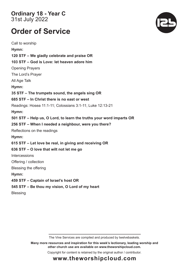**Ordinary 18 - Year C**  31st July 2022

### **Order of Service**

Call to worship **Hymn: 120 STF – We gladly celebrate and praise OR 103 STF – God is Love: let heaven adore him**  Opening Prayers The Lord's Prayer All Age Talk **Hymn: 35 STF – The trumpets sound, the angels sing OR 685 STF – In Christ there is no east or west** Readings: Hosea 11:1-11; Colossians 3:1-11; Luke 12:13-21 **Hymn: 501 STF – Help us, O Lord, to learn the truths your word imparts OR 256 STF – When I needed a neighbour, were you there?**  Reflections on the readings **Hymn: 615 STF – Let love be real, in giving and receiving OR 636 STF – O love that wilt not let me go Intercessions** Offering / collection Blessing the offering **Hymn: 459 STF – Captain of Israel's host OR 545 STF – Be thou my vision, O Lord of my heart Blessing** 

The Vine Services are compiled and produced by twelvebaskets.

**Many more resources and inspiration for this week's lectionary, leading worship and other church use are available on www.theworshipcloud.com.**

Copyright for content is retained by the original author / contributor.



### **www.theworshipcloud.com**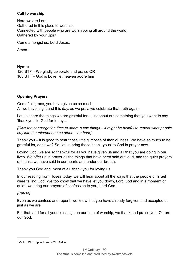#### **Call to worship**

Here we are Lord, Gathered in this place to worship, Connected with people who are worshipping all around the world, Gathered by your Spirit.

Come amongst us, Lord Jesus,

<span id="page-2-1"></span>Amen.[1](#page-2-0)

#### **Hymn:**

120 STF – We gladly celebrate and praise OR 103 STF – God is Love: let heaven adore him

#### **Opening Prayers**

God of all grace, you have given us so much, All we have is gift and this day, as we pray, we celebrate that truth again.

Let us share the things we are grateful for  $-$  just shout out something that you want to say 'thank you' to God for today…

*[Give the congregation time to share a few things – it might be helpful to repeat what people say into the microphone so others can hear]*.

Thank you – it is good to hear those little glimpses of thankfulness. We have so much to be grateful for, don't we? So, let us bring those 'thank yous' to God in prayer now.

Loving God, we are so thankful for all you have given us and all that you are doing in our lives. We offer up in prayer all the things that have been said out loud, and the quiet prayers of thanks we have said in our hearts and under our breath.

Thank you God and, most of all, thank you for loving us.

In our reading from Hosea today, we will hear about all the ways that the people of Israel were failing God. We too know that we have let you down, Lord God and in a moment of quiet, we bring our prayers of confession to you, Lord God.

#### *[Pause]*

Even as we confess and repent, we know that you have already forgiven and accepted us just as we are.

For that, and for all your blessings on our time of worship, we thank and praise you, O Lord our God.

<span id="page-2-0"></span> $1$  Call to Worship written by Tim Baker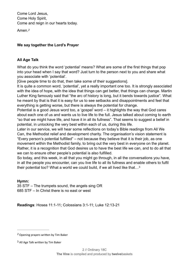Come Lord Jesus, Come Holy Spirit, Come and reign in our hearts today.

<span id="page-3-2"></span>Amen.*[2](#page-3-0)*

#### **We say together the Lord's Prayer**

#### **All Age Talk**

What do you think the word 'potential' means? What are some of the first things that pop into your head when I say that word? Just turn to the person next to you and share what you associate with 'potential'.

[Give people time to do that, then take some of their suggestions].

It is quite a common word, 'potential', yet a really important one too. It is strongly associated with the idea of hope, with the idea that things can get better, that things can change. Martin Luther King famously said that "the arc of history is long, but it bends towards justice". What he meant by that is that it is easy for us to see setbacks and disappointments and feel that everything is getting worse, but there is always the potential for change.

Potential is a good Jesus word too, a 'gospel' word – it highlights the way that God cares about each one of us and wants us to live life to the full. Jesus talked about coming to earth "so that we might have life, and have it in all its fullness". That seems to suggest a belief in potential, in unlocking the very best within each of us, during this life.

Later in our service, we will hear some reflections on today's Bible readings from All We Can, the Methodist relief and development charity. The organisation's vision statement is "Every person's potential fulfilled" – not because they believe that it is their job, as one movement within the Methodist family, to bring out the very best in everyone on the planet. Rather, it is a recognition that God desires us to have the best life we can, and to do all that we can to ensure other people's potential is also fulfilled.

<span id="page-3-3"></span>So today, and this week, in all that you might go through, in all the conversations you have, in all the people you encounter, can you live life to all its fullness and enable others to fulfil their potential too? What a world we could build, if we all lived like that…[3](#page-3-1)

#### **Hymn:**

35 STF – The trumpets sound, the angels sing OR 685 STF – In Christ there is no east or west

**Readings**: Hosea 11:1-11; Colossians 3:1-11; Luke 12:13-21

<span id="page-3-0"></span>Opening prayers written by Tim Baker *[2](#page-3-2)*

<span id="page-3-1"></span> $3$  All Age Talk written by Tim Baker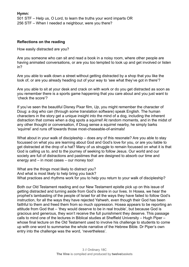#### **Hymn:**

501 STF – Help us, O Lord, to learn the truths your word imparts OR 256 STF – When I needed a neighbour, were you there?

#### **Reflections on the reading**

How easily distracted are you?

Are you someone who can sit and read a book in a noisy room, where other people are having animated conversations, or are you too tempted to look up and get involved or listen in?

Are you able to walk down a street without getting distracted by a shop that you like the look of, or are you already heading out of your way to 'see what they've got in there'?

Are you able to sit at your desk and crack on with work or do you get distracted as soon as you remember there is a sports game happening that you care about and you just want to 'check the score'?

If you've seen the beautiful Disney Pixar film, *Up*, you might remember the character of Doug: a dog who can (through some translation software) speak English. The human characters in the story get a unique insight into the mind of a dog, including the inherent distraction that comes when a dog spots a squirrel! At random moments, and in the midst of any other thought or conversation, if Doug sense a squirrel nearby, he simply barks 'squirrel' and runs off towards those most-chaseable-of-animals!

What about in your walk of discipleship – does any of this resonate? Are you able to stay focussed on what you are learning about God and God's love for you, or are you liable to get distracted at the drop of a hat? Many of us struggle to remain focussed on what it is that God is calling us to, and to the journey of seeking to follow Jesus. Our world and our society are full of distractions and pastimes that are designed to absorb our time and energy and – in most cases – our money too!

What are the things most likely to distract you? And what is most likely to help bring you back? What practices and rhythms work for you to help you return to your walk of discipleship?

Both our Old Testament reading and our New Testament epistle pick up on this issue of getting distracted and turning aside from God's desire in our lives. In Hosea, we hear the prophet's lambasting of the people of Israel for all the ways they have failed to follow God's instruction, for all the ways they have rejected Yahweh, even though their God has been faithful to them and freed them from so much oppression. Hosea appears to be reporting an attitude from God that – 'they would deserve to be in real trouble', but because God is gracious and generous, they won't receive the full punishment they deserve. This passage calls to mind one of the lectures in Biblical studies at Sheffield University – Hugh Piper – whose final lecture on the Old Testament used to involve his challenge to students to come up with one word to summarise the whole narrative of the Hebrew Bible. Dr Piper's own entry into the challenge was the word, 'nevertheless'.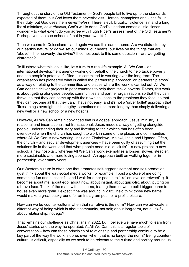Throughout the story of the Old Testament – God's people fail to live up to the standards expected of them, but God loves them nevertheless. Heroes, champions and kings fail in their duty, but God uses them *nevertheless*. There is evil, brutality, violence, sin and a long list of mistakes, *nevertheless*, God's will is done, God's kingdom comes a little closer… I wonder – to what extent do you agree with Hugh Piper's assessment of the Old Testament? Perhaps you can see echoes of that in your own life?

Then we come to Colossians – and again we see this same theme. Are we distracted by our 'earthly nature' or do we set our minds, our hearts, our lives on the things that are 'above' – the heavenly, the divine? It comes back to this same question – are we getting distracted?

To illustrate what this looks like, let's turn to a real-life example. All We Can – an international development agency working on behalf of the church to help tackle poverty and see people's potential fulfilled – is committed to working over the long-term. The organisation has pioneered what is called the 'partnership approach' or 'partnership ethos' as a way of relating to the communities and places where the work is carried out. All We Can doesn't deliver projects in poor countries to help them tackle poverty. Rather, this work is about getting alongside people, communities and partner organisations so that they can thrive, so that they can come up with their own solutions to the problems they face, so that they can become all that they can. That's not easy, and it's not a 'silver bullet' approach that 'fixes' things overnight. It is lengthy, sometimes much more lengthy than simply delivering a new well or a new school or a new hospital.

However, All We Can remain convinced that is a gospel approach. Jesus' ministry is relational and incarnational, not transactional. Jesus models a way of getting alongside people, understanding their story and listening to their voices that has often been overlooked when the church has sought to work in some of the places and communities where All We Can is now working, including Zimbabwe, Malawi, India and Uganda. Often, the church – and secular development agencies – have been guilty of assuming that the solutions lie in the west, and that what people need is a 'quick fix'  $-$  a new project, a new school, a new hospital…whereas All We Can's work exemplifies a longer, slower, steadier, more sustainable and more loving approach. An approach built on walking together in partnership, over many years.

Our Western culture is often one that promotes self-aggrandisement and self-promotion (just think about the way social media works, for example: I post a picture of me doing something fun and successful, and I wait for other people to 'like' or 'love' or 'retweet' it). It becomes about me, about ego, about now, about instant, about quick-fix, about 'putting on a brave face. Think of the man, with his barns, tearing them down to build bigger barns to house even more grain. I expect if he was around in 2022, he'd think those new barns would make a great background for an Instagram post, or a profile picture.

How can we be counter-cultural when that narrative is the norm? How can we advocate a different way of being which is about community, not self; about long-term, not quick-fix; about relationship, not ego?

That remains our challenge as Christians in 2022, but I believe we have much to learn from Jesus' stories and the way he operated. At All We Can, this is a regular topic of conversation – how can these principles of relationship and partnership continue to be a key part of the way the work is done, even when that is no longer the norm? Being countercultural is difficult, especially as we seek to be relevant to the culture and society around us,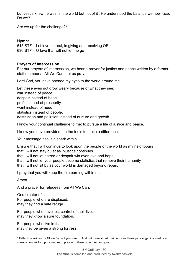but Jesus knew he was 'in the world but not of it'. He understood the balance we now face. Do we?

<span id="page-6-1"></span>Are we up for the challenge?[4](#page-6-0)

#### **Hymn:**

615 STF – Let love be real, in giving and receiving OR 636 STF – O love that wilt not let me go

#### **Prayers of intercession**

For our prayers of intercession, we hear a prayer for justice and peace written by a former staff member at All We Can. Let us pray.

Lord God, you have opened my eyes to the world around me.

Let these eyes not grow weary because of what they see: war instead of peace, despair instead of hope, profit instead of prosperity, want instead of need, statistics instead of people, destruction and pollution instead of nurture and growth.

I know your continual challenge to me: to pursue a life of justice and peace.

I know you have provided me the tools to make a difference.

Your message has lit a spark within.

Ensure that I will continue to look upon the people of the world as my neighbours that I will not stay quiet as injustice continues that I will not let hatred or despair win over love and hope that I will not let your people become statistics that remove their humanity that I will not sit by as your world is damaged beyond repair.

I pray that you will keep the fire burning within me.

Amen.

And a prayer for refugees from All We Can,

God creator of all. For people who are displaced, may they find a safe refuge.

For people who have lost control of their lives, may they know a sure foundation.

For people who live in fear, may they be given a strong fortress.

<span id="page-6-0"></span> $4$  Reflection written by All We Can – if you want to find out more about their work and how you can get involved, visit allwecan.org.uk for opportunities to pray with them, volunteer and give.